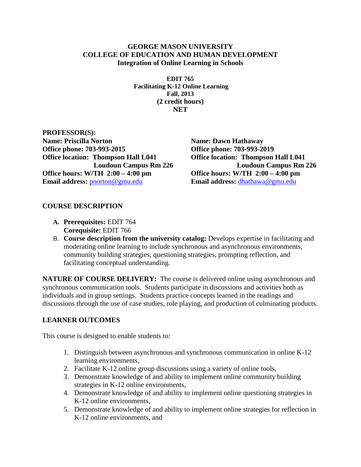### **GEORGE MASON UNIVERSITY COLLEGE OF EDUCATION AND HUMAN DEVELOPMENT Integration of Online Learning in Schools**

**EDIT 765 Facilitating K-12 Online Learning Fall, 2013 (2 credit hours) NET**

**PROFESSOR(S): Name: Priscilla Norton Name: Dawn Hathaway Office phone: 703-993-2015 Office phone: 703-993-2019 Office location: Thompson Hall L041 Office location: Thompson Hall L041 Office hours: W/TH 2:00 – 4:00 pm Office hours: W/TH 2:00 – 4:00 pm Email address:** [pnorton@gmu.edu](mailto:pnorton@gmu.edu) **Email address:** [dhathawa@gmu.edu](mailto:dhathawa@gmu.edu)

 **Loudoun Campus Rm 226 Loudoun Campus Rm 226**

# **COURSE DESCRIPTION**

- **A. Prerequisites:** EDIT 764 **Corequisite:** EDIT 766
- B. **Course description from the university catalog:** Develops expertise in facilitating and moderating online learning to include synchronous and asynchronous environments, community building strategies, questioning strategies, prompting reflection, and facilitating conceptual understanding.

**NATURE OF COURSE DELIVERY:** The course is delivered online using asynchronous and synchronous communication tools. Students participate in discussions and activities both as individuals and in group settings. Students practice concepts learned in the readings and discussions through the use of case studies, role playing, and production of culminating products.

# **LEARNER OUTCOMES**

This course is designed to enable students to:

- 1. Distinguish between asynchronous and synchronous communication in online K-12 learning environments,
- 2. Facilitate K-12 online group discussions using a variety of online tools,
- 3. Demonstrate knowledge of and ability to implement online community building strategies in K-12 online environments,
- 4. Demonstrate knowledge of and ability to implement online questioning strategies in K-12 online environments,
- 5. Demonstrate knowledge of and ability to implement online strategies for reflection in K-12 online environments, and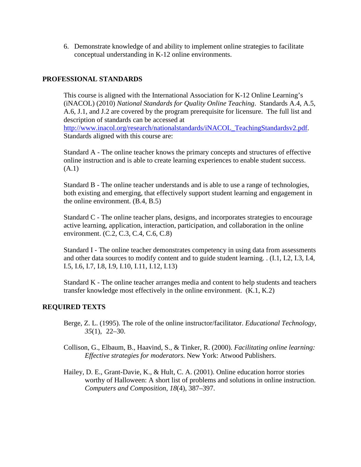6. Demonstrate knowledge of and ability to implement online strategies to facilitate conceptual understanding in K-12 online environments.

## **PROFESSIONAL STANDARDS**

This course is aligned with the International Association for K-12 Online Learning's (iNACOL) (2010) *National Standards for Quality Online Teaching*. Standards A.4, A.5, A.6, J.1, and J.2 are covered by the program prerequisite for licensure. The full list and description of standards can be accessed at [http://www.inacol.org/research/nationalstandards/iNACOL\\_TeachingStandardsv2.pdf.](http://www.inacol.org/research/nationalstandards/iNACOL_TeachingStandardsv2.pdf) Standards aligned with this course are:

Standard A - The online teacher knows the primary concepts and structures of effective online instruction and is able to create learning experiences to enable student success. (A.1)

Standard B - The online teacher understands and is able to use a range of technologies, both existing and emerging, that effectively support student learning and engagement in the online environment. (B.4, B.5)

Standard C - The online teacher plans, designs, and incorporates strategies to encourage active learning, application, interaction, participation, and collaboration in the online environment. (C.2, C.3, C.4, C.6, C.8)

Standard I - The online teacher demonstrates competency in using data from assessments and other data sources to modify content and to guide student learning. . (I.1, I.2, I.3, I.4, I.5, I.6, I.7, I.8, I.9, I.10, I.11, I.12, I.13)

Standard K - The online teacher arranges media and content to help students and teachers transfer knowledge most effectively in the online environment. (K.1, K.2)

### **REQUIRED TEXTS**

- Berge, Z. L. (1995). The role of the online instructor/facilitator. *Educational Technology*, *35*(1), 22–30.
- Collison, G., Elbaum, B., Haavind, S., & Tinker, R. (2000). *Facilitating online learning: Effective strategies for moderators.* New York: Atwood Publishers.
- Hailey, D. E., Grant-Davie, K., & Hult, C. A. (2001). Online education horror stories worthy of Halloween: A short list of problems and solutions in online instruction. *Computers and Composition*, *18*(4), 387–397.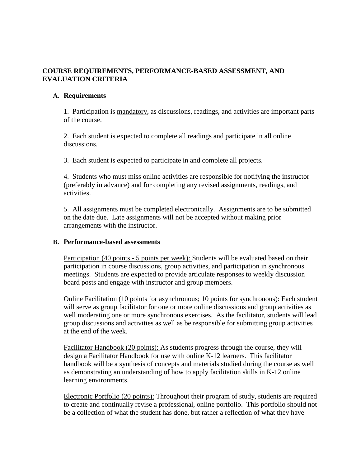# **COURSE REQUIREMENTS, PERFORMANCE-BASED ASSESSMENT, AND EVALUATION CRITERIA**

## **A. Requirements**

1. Participation is mandatory, as discussions, readings, and activities are important parts of the course.

2. Each student is expected to complete all readings and participate in all online discussions.

3. Each student is expected to participate in and complete all projects.

4. Students who must miss online activities are responsible for notifying the instructor (preferably in advance) and for completing any revised assignments, readings, and activities.

5. All assignments must be completed electronically. Assignments are to be submitted on the date due. Late assignments will not be accepted without making prior arrangements with the instructor.

### **B. Performance-based assessments**

Participation (40 points - 5 points per week): Students will be evaluated based on their participation in course discussions, group activities, and participation in synchronous meetings. Students are expected to provide articulate responses to weekly discussion board posts and engage with instructor and group members.

Online Facilitation (10 points for asynchronous; 10 points for synchronous): Each student will serve as group facilitator for one or more online discussions and group activities as well moderating one or more synchronous exercises. As the facilitator, students will lead group discussions and activities as well as be responsible for submitting group activities at the end of the week.

Facilitator Handbook (20 points): As students progress through the course, they will design a Facilitator Handbook for use with online K-12 learners. This facilitator handbook will be a synthesis of concepts and materials studied during the course as well as demonstrating an understanding of how to apply facilitation skills in K-12 online learning environments.

Electronic Portfolio (20 points): Throughout their program of study, students are required to create and continually revise a professional, online portfolio. This portfolio should not be a collection of what the student has done, but rather a reflection of what they have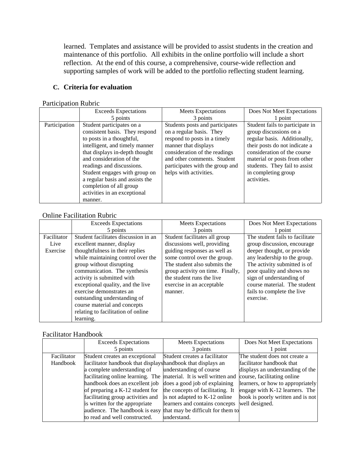learned. Templates and assistance will be provided to assist students in the creation and maintenance of this portfolio. All exhibits in the online portfolio will include a short reflection. At the end of this course, a comprehensive, course-wide reflection and supporting samples of work will be added to the portfolio reflecting student learning.

# **C. Criteria for evaluation**

#### Participation Rubric

|               | <b>Exceeds Expectations</b>                                                                                                                                                                                                                                                                                                                          | Meets Expectations                                                                                                                                                                                                                               | Does Not Meet Expectations                                                                                                                                                                                                                                       |
|---------------|------------------------------------------------------------------------------------------------------------------------------------------------------------------------------------------------------------------------------------------------------------------------------------------------------------------------------------------------------|--------------------------------------------------------------------------------------------------------------------------------------------------------------------------------------------------------------------------------------------------|------------------------------------------------------------------------------------------------------------------------------------------------------------------------------------------------------------------------------------------------------------------|
|               | 5 points                                                                                                                                                                                                                                                                                                                                             | 3 points                                                                                                                                                                                                                                         | 1 point                                                                                                                                                                                                                                                          |
| Participation | Student participates on a<br>consistent basis. They respond<br>to posts in a thoughtful,<br>intelligent, and timely manner<br>that displays in-depth thought<br>and consideration of the<br>readings and discussions.<br>Student engages with group on<br>a regular basis and assists the<br>completion of all group<br>activities in an exceptional | Students posts and participates<br>on a regular basis. They<br>respond to posts in a timely<br>manner that displays<br>consideration of the readings<br>and other comments. Student<br>participates with the group and<br>helps with activities. | Student fails to participate in<br>group discussions on a<br>regular basis. Additionally,<br>their posts do not indicate a<br>consideration of the course<br>material or posts from other<br>students. They fail to assist<br>in completing group<br>activities. |
|               | manner.                                                                                                                                                                                                                                                                                                                                              |                                                                                                                                                                                                                                                  |                                                                                                                                                                                                                                                                  |

#### Online Facilitation Rubric

|             | <b>Exceeds Expectations</b>          | <b>Meets Expectations</b>        | Does Not Meet Expectations      |
|-------------|--------------------------------------|----------------------------------|---------------------------------|
|             | 5 points                             | 3 points                         | 1 point                         |
| Facilitator | Student facilitates discussion in an | Student facilitates all group    | The student fails to facilitate |
| Live        | excellent manner, display            | discussions well, providing      | group discussion, encourage     |
| Exercise    | thoughtfulness in their replies      | guiding responses as well as     | deeper thought, or provide      |
|             | while maintaining control over the   | some control over the group.     | any leadership to the group.    |
|             | group without disrupting             | The student also submits the     | The activity submitted is of    |
|             | communication. The synthesis         | group activity on time. Finally, | poor quality and shows no       |
|             | activity is submitted with           | the student runs the live        | sign of understanding of        |
|             | exceptional quality, and the live    | exercise in an acceptable        | course material. The student    |
|             | exercise demonstrates an             | manner.                          | fails to complete the live      |
|             | outstanding understanding of         |                                  | exercise.                       |
|             | course material and concepts         |                                  |                                 |
|             | relating to facilitation of online   |                                  |                                 |
|             | learning.                            |                                  |                                 |

#### Facilitator Handbook

|             | <b>Exceeds Expectations</b>                                                                    | <b>Meets Expectations</b>         | Does Not Meet Expectations        |
|-------------|------------------------------------------------------------------------------------------------|-----------------------------------|-----------------------------------|
|             | 5 points                                                                                       | 3 points                          | 1 point                           |
| Facilitator | Student creates an exceptional                                                                 | Student creates a facilitator     | The student does not create a     |
| Handbook    | facilitator handbook that displays handbook that displays an                                   |                                   | facilitator handbook that         |
|             | a complete understanding of                                                                    | understanding of course           | displays an understanding of the  |
|             | facilitating online learning. The material. It is well written and course, facilitating online |                                   |                                   |
|             | handbook does an excellent job                                                                 | does a good job of explaining     | learners, or how to appropriately |
|             | of preparing a K-12 student for                                                                | the concepts of facilitating. It  | engage with K-12 learners. The    |
|             | facilitating group activities and                                                              | is not adapted to K-12 online     | book is poorly written and is not |
|             | is written for the appropriate                                                                 | learners and contains concepts    | well designed.                    |
|             | audience. The handbook is easy                                                                 | that may be difficult for them to |                                   |
|             | to read and well constructed.                                                                  | understand.                       |                                   |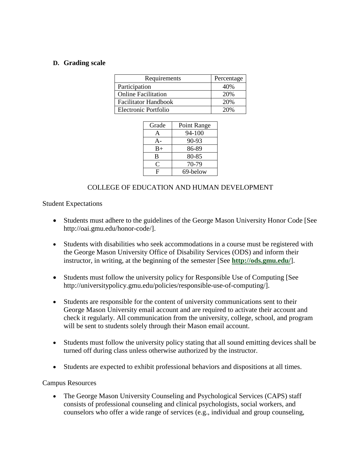## **D. Grading scale**

| Requirements                | Percentage |
|-----------------------------|------------|
| Participation               | 40%        |
| <b>Online Facilitation</b>  | 20%        |
| <b>Facilitator Handbook</b> | 20%        |
| Electronic Portfolio        | 20%        |

| Grade | Point Range |
|-------|-------------|
| A     | 94-100      |
| $A -$ | 90-93       |
| $B+$  | 86-89       |
| B     | 80-85       |
| C     | 70-79       |
| F     | 69-below    |

# COLLEGE OF EDUCATION AND HUMAN DEVELOPMENT

## Student Expectations

- Students must adhere to the guidelines of the George Mason University Honor Code [See http://oai.gmu.edu/honor-code/].
- Students with disabilities who seek accommodations in a course must be registered with the George Mason University Office of Disability Services (ODS) and inform their instructor, in writing, at the beginning of the semester [See **<http://ods.gmu.edu/>**].
- Students must follow the university policy for Responsible Use of Computing [See http://universitypolicy.gmu.edu/policies/responsible-use-of-computing/].
- Students are responsible for the content of university communications sent to their George Mason University email account and are required to activate their account and check it regularly. All communication from the university, college, school, and program will be sent to students solely through their Mason email account.
- Students must follow the university policy stating that all sound emitting devices shall be turned off during class unless otherwise authorized by the instructor.
- Students are expected to exhibit professional behaviors and dispositions at all times.

# Campus Resources

• The George Mason University Counseling and Psychological Services (CAPS) staff consists of professional counseling and clinical psychologists, social workers, and counselors who offer a wide range of services (e.g., individual and group counseling,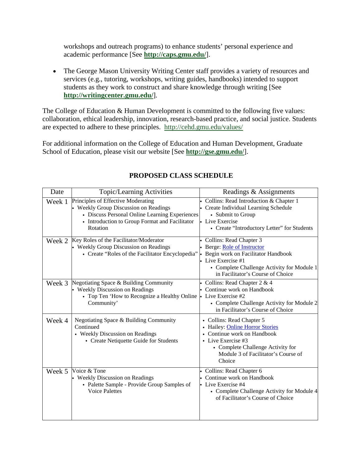workshops and outreach programs) to enhance students' personal experience and academic performance [See **<http://caps.gmu.edu/>**].

• The George Mason University Writing Center staff provides a variety of resources and services (e.g., tutoring, workshops, writing guides, handbooks) intended to support students as they work to construct and share knowledge through writing [See **<http://writingcenter.gmu.edu/>**].

The College of Education & Human Development is committed to the following five values: collaboration, ethical leadership, innovation, research-based practice, and social justice. Students are expected to adhere to these principles. <http://cehd.gmu.edu/values/>

For additional information on the College of Education and Human Development, Graduate School of Education, please visit our website [See **<http://gse.gmu.edu/>**].

| Date   | Topic/Learning Activities                                                                                                                                                                   | Readings & Assignments                                                                                                                                                                                |
|--------|---------------------------------------------------------------------------------------------------------------------------------------------------------------------------------------------|-------------------------------------------------------------------------------------------------------------------------------------------------------------------------------------------------------|
| Week 1 | Principles of Effective Moderating<br>• Weekly Group Discussion on Readings<br>• Discuss Personal Online Learning Experiences<br>• Introduction to Group Format and Facilitator<br>Rotation | • Collins: Read Introduction & Chapter 1<br>Create Individual Learning Schedule<br>• Submit to Group<br>• Live Exercise<br>• Create "Introductory Letter" for Students                                |
| Week 2 | Key Roles of the Facilitator/Moderator<br>• Weekly Group Discussion on Readings<br>• Create "Roles of the Facilitator Encyclopedia"                                                         | Collins: Read Chapter 3<br>Berge: Role of Instructor<br>Begin work on Facilitator Handbook<br>Live Exercise #1<br>• Complete Challenge Activity for Module 1<br>in Facilitator's Course of Choice     |
| Week 3 | Negotiating Space & Building Community<br>• Weekly Discussion on Readings<br>• Top Ten 'How to Recognize a Healthy Online<br>Community'                                                     | Collins: Read Chapter 2 & 4<br>Continue work on Handbook<br>Live Exercise #2<br>• Complete Challenge Activity for Module 2<br>in Facilitator's Course of Choice                                       |
| Week 4 | Negotiating Space & Building Community<br>Continued<br>• Weekly Discussion on Readings<br>• Create Netiquette Guide for Students                                                            | • Collins: Read Chapter 5<br>Hailey: Online Horror Stories<br>• Continue work on Handbook<br>• Live Exercise #3<br>• Complete Challenge Activity for<br>Module 3 of Facilitator's Course of<br>Choice |
| Week 5 | Voice & Tone<br>• Weekly Discussion on Readings<br>• Palette Sample - Provide Group Samples of<br><b>Voice Palettes</b>                                                                     | Collins: Read Chapter 6<br>Continue work on Handbook<br>Live Exercise #4<br>• Complete Challenge Activity for Module 4<br>of Facilitator's Course of Choice                                           |

# **PROPOSED CLASS SCHEDULE**